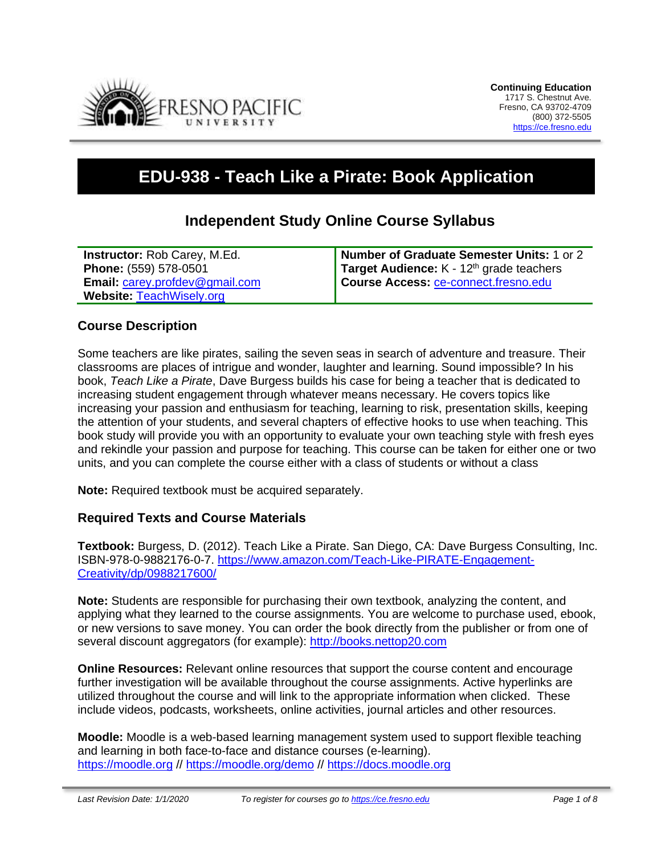

# **EDU-938 - Teach Like a Pirate: Book Application**

# **Independent Study Online Course Syllabus**

| <b>Instructor:</b> Rob Carey, M.Ed.   | Number of Graduate Semester Units: 1 or 2            |
|---------------------------------------|------------------------------------------------------|
| Phone: (559) 578-0501                 | Target Audience: K - 12 <sup>th</sup> grade teachers |
| <b>Email: carey.profdev@gmail.com</b> | Course Access: ce-connect.fresno.edu                 |
| <b>Website: TeachWisely.org</b>       |                                                      |

#### **Course Description**

Some teachers are like pirates, sailing the seven seas in search of adventure and treasure. Their classrooms are places of intrigue and wonder, laughter and learning. Sound impossible? In his book, *Teach Like a Pirate*, Dave Burgess builds his case for being a teacher that is dedicated to increasing student engagement through whatever means necessary. He covers topics like increasing your passion and enthusiasm for teaching, learning to risk, presentation skills, keeping the attention of your students, and several chapters of effective hooks to use when teaching. This book study will provide you with an opportunity to evaluate your own teaching style with fresh eyes and rekindle your passion and purpose for teaching. This course can be taken for either one or two units, and you can complete the course either with a class of students or without a class

**Note:** Required textbook must be acquired separately.

#### **Required Texts and Course Materials**

**Textbook:** Burgess, D. (2012). Teach Like a Pirate. San Diego, CA: Dave Burgess Consulting, Inc. ISBN-978-0-9882176-0-7. [https://www.amazon.com/Teach-Like-PIRATE-Engagement-](https://www.amazon.com/Teach-Like-PIRATE-Engagement-Creativity/dp/0988217600/)[Creativity/dp/0988217600/](https://www.amazon.com/Teach-Like-PIRATE-Engagement-Creativity/dp/0988217600/)

**Note:** Students are responsible for purchasing their own textbook, analyzing the content, and applying what they learned to the course assignments. You are welcome to purchase used, ebook, or new versions to save money. You can order the book directly from the publisher or from one of several discount aggregators (for example): [http://books.nettop20.com](http://books.nettop20.com/)

**Online Resources:** Relevant online resources that support the course content and encourage further investigation will be available throughout the course assignments. Active hyperlinks are utilized throughout the course and will link to the appropriate information when clicked. These include videos, podcasts, worksheets, online activities, journal articles and other resources.

**Moodle:** Moodle is a web-based learning management system used to support flexible teaching and learning in both face-to-face and distance courses (e-learning). [https://moodle.org](https://moodle.org/) // <https://moodle.org/demo> // [https://docs.moodle.org](https://docs.moodle.org/)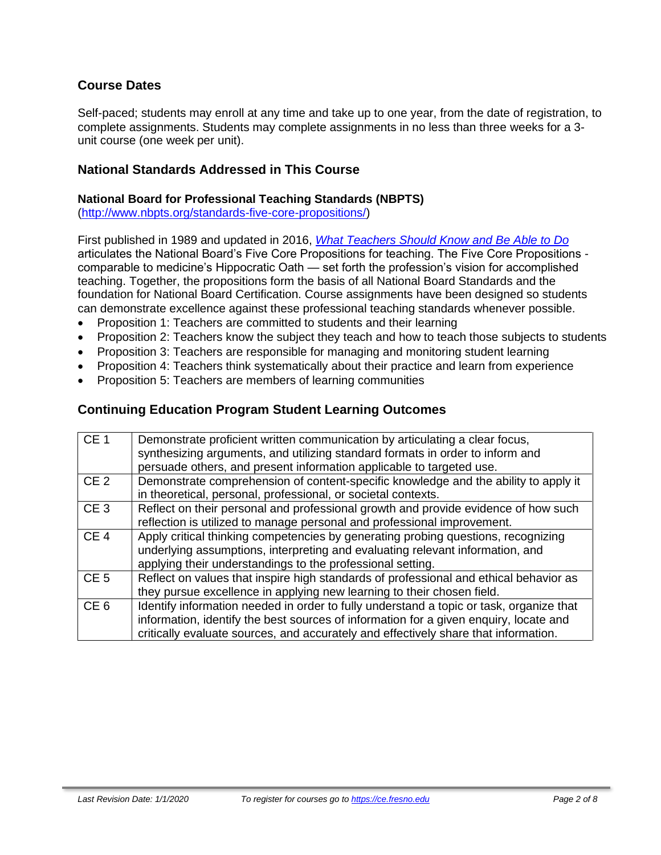## **Course Dates**

Self-paced; students may enroll at any time and take up to one year, from the date of registration, to complete assignments. Students may complete assignments in no less than three weeks for a 3 unit course (one week per unit).

### **National Standards Addressed in This Course**

#### **National Board for Professional Teaching Standards (NBPTS)**

[\(http://www.nbpts.org/standards-five-core-propositions/\)](http://www.nbpts.org/standards-five-core-propositions/)

First published in 1989 and updated in 2016, *[What Teachers Should Know and Be Able to Do](http://www.accomplishedteacher.org/)* articulates the National Board's Five Core Propositions for teaching. The Five Core Propositions comparable to medicine's Hippocratic Oath — set forth the profession's vision for accomplished teaching. Together, the propositions form the basis of all National Board Standards and the foundation for National Board Certification. Course assignments have been designed so students can demonstrate excellence against these professional teaching standards whenever possible.

- Proposition 1: Teachers are committed to students and their learning
- Proposition 2: Teachers know the subject they teach and how to teach those subjects to students
- Proposition 3: Teachers are responsible for managing and monitoring student learning
- Proposition 4: Teachers think systematically about their practice and learn from experience
- Proposition 5: Teachers are members of learning communities

#### **Continuing Education Program Student Learning Outcomes**

| CE <sub>1</sub> | Demonstrate proficient written communication by articulating a clear focus,<br>synthesizing arguments, and utilizing standard formats in order to inform and<br>persuade others, and present information applicable to targeted use.                                    |
|-----------------|-------------------------------------------------------------------------------------------------------------------------------------------------------------------------------------------------------------------------------------------------------------------------|
| CE <sub>2</sub> | Demonstrate comprehension of content-specific knowledge and the ability to apply it<br>in theoretical, personal, professional, or societal contexts.                                                                                                                    |
| CE <sub>3</sub> | Reflect on their personal and professional growth and provide evidence of how such<br>reflection is utilized to manage personal and professional improvement.                                                                                                           |
| CE <sub>4</sub> | Apply critical thinking competencies by generating probing questions, recognizing<br>underlying assumptions, interpreting and evaluating relevant information, and<br>applying their understandings to the professional setting.                                        |
| CE <sub>5</sub> | Reflect on values that inspire high standards of professional and ethical behavior as<br>they pursue excellence in applying new learning to their chosen field.                                                                                                         |
| CE <sub>6</sub> | Identify information needed in order to fully understand a topic or task, organize that<br>information, identify the best sources of information for a given enquiry, locate and<br>critically evaluate sources, and accurately and effectively share that information. |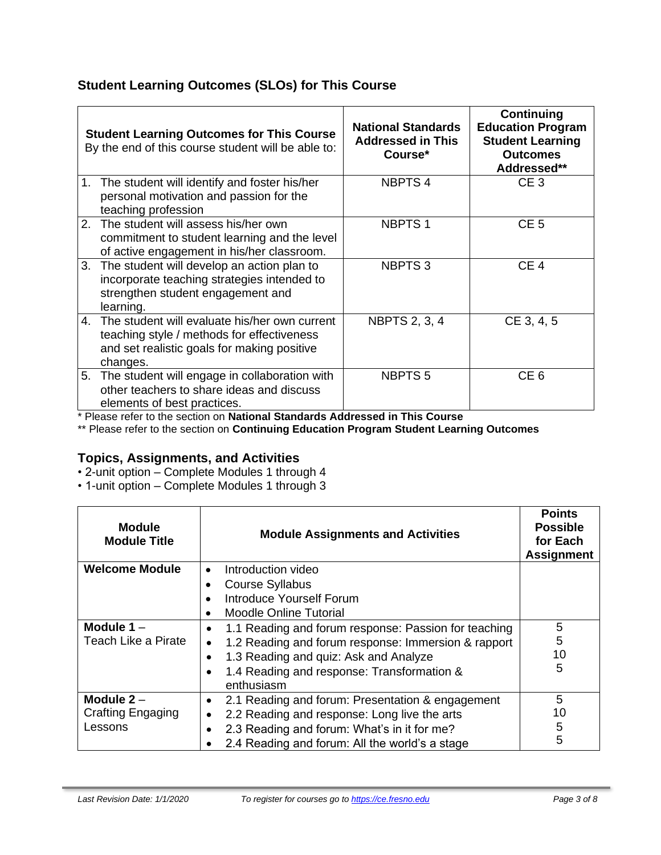# **Student Learning Outcomes (SLOs) for This Course**

|    | <b>Student Learning Outcomes for This Course</b><br>By the end of this course student will be able to:                                                    | <b>National Standards</b><br><b>Addressed in This</b><br>Course* | Continuing<br><b>Education Program</b><br><b>Student Learning</b><br><b>Outcomes</b><br>Addressed** |
|----|-----------------------------------------------------------------------------------------------------------------------------------------------------------|------------------------------------------------------------------|-----------------------------------------------------------------------------------------------------|
| 1. | The student will identify and foster his/her<br>personal motivation and passion for the<br>teaching profession                                            | <b>NBPTS4</b>                                                    | CE <sub>3</sub>                                                                                     |
| 2. | The student will assess his/her own<br>commitment to student learning and the level<br>of active engagement in his/her classroom.                         | <b>NBPTS1</b>                                                    | CE <sub>5</sub>                                                                                     |
|    | 3. The student will develop an action plan to<br>incorporate teaching strategies intended to<br>strengthen student engagement and<br>learning.            | <b>NBPTS3</b>                                                    | CE <sub>4</sub>                                                                                     |
|    | 4. The student will evaluate his/her own current<br>teaching style / methods for effectiveness<br>and set realistic goals for making positive<br>changes. | <b>NBPTS 2, 3, 4</b>                                             | CE 3, 4, 5                                                                                          |
|    | 5. The student will engage in collaboration with<br>other teachers to share ideas and discuss<br>elements of best practices.                              | <b>NBPTS5</b>                                                    | CE <sub>6</sub>                                                                                     |

\* Please refer to the section on **National Standards Addressed in This Course**

\*\* Please refer to the section on **Continuing Education Program Student Learning Outcomes**

## **Topics, Assignments, and Activities**

- 2-unit option Complete Modules 1 through 4
- 1-unit option Complete Modules 1 through 3

| <b>Module</b><br><b>Module Title</b> | <b>Module Assignments and Activities</b>                         | <b>Points</b><br><b>Possible</b><br>for Each<br><b>Assignment</b> |
|--------------------------------------|------------------------------------------------------------------|-------------------------------------------------------------------|
| <b>Welcome Module</b>                | Introduction video<br>$\bullet$                                  |                                                                   |
|                                      | <b>Course Syllabus</b>                                           |                                                                   |
|                                      | Introduce Yourself Forum                                         |                                                                   |
|                                      | <b>Moodle Online Tutorial</b>                                    |                                                                   |
| Module 1-                            | 1.1 Reading and forum response: Passion for teaching             | 5                                                                 |
| Teach Like a Pirate                  | 1.2 Reading and forum response: Immersion & rapport<br>$\bullet$ | 5                                                                 |
|                                      | 1.3 Reading and quiz: Ask and Analyze                            | 10                                                                |
|                                      | 1.4 Reading and response: Transformation &<br>enthusiasm         | 5                                                                 |
| Module $2 -$                         | 2.1 Reading and forum: Presentation & engagement                 | 5                                                                 |
| Crafting Engaging                    | 2.2 Reading and response: Long live the arts                     | 10                                                                |
| Lessons                              | 2.3 Reading and forum: What's in it for me?                      | 5                                                                 |
|                                      | 2.4 Reading and forum: All the world's a stage                   | 5                                                                 |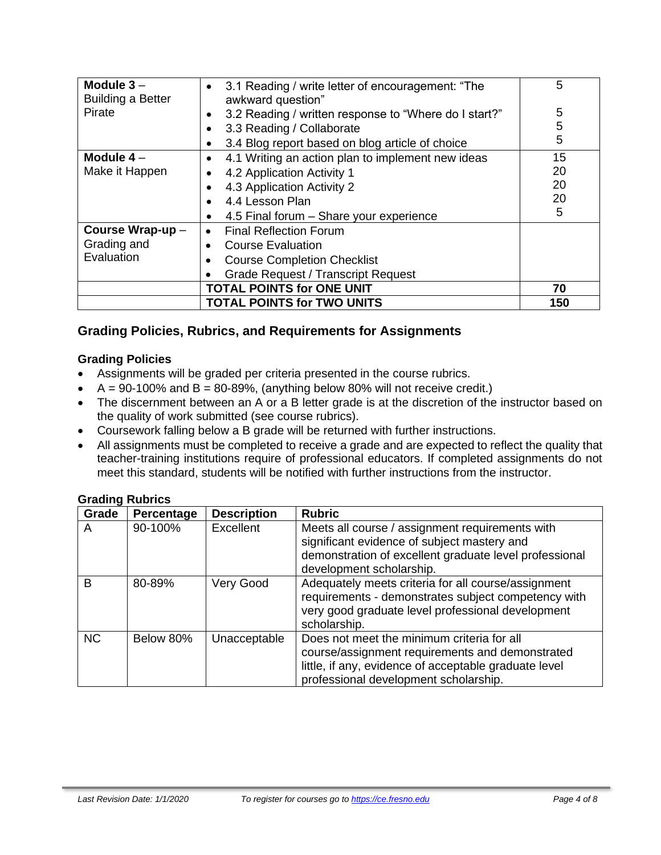| Module $3-$<br><b>Building a Better</b>              | 3.1 Reading / write letter of encouragement: "The<br>$\bullet$<br>awkward question" | 5   |
|------------------------------------------------------|-------------------------------------------------------------------------------------|-----|
| Pirate                                               | 3.2 Reading / written response to "Where do I start?"                               | 5   |
|                                                      | 3.3 Reading / Collaborate                                                           | 5   |
|                                                      | 3.4 Blog report based on blog article of choice<br>٠                                | 5   |
| Module $4-$                                          | 4.1 Writing an action plan to implement new ideas<br>$\bullet$                      | 15  |
| Make it Happen                                       | 4.2 Application Activity 1                                                          | 20  |
|                                                      | 4.3 Application Activity 2                                                          | 20  |
|                                                      | 4.4 Lesson Plan                                                                     | 20  |
|                                                      | 4.5 Final forum - Share your experience                                             | 5   |
| Course Wrap-up-                                      | <b>Final Reflection Forum</b><br>$\bullet$                                          |     |
| Grading and<br><b>Course Evaluation</b><br>$\bullet$ |                                                                                     |     |
| Evaluation                                           | <b>Course Completion Checklist</b>                                                  |     |
|                                                      | <b>Grade Request / Transcript Request</b>                                           |     |
|                                                      | <b>TOTAL POINTS for ONE UNIT</b>                                                    | 70  |
|                                                      | <b>TOTAL POINTS for TWO UNITS</b>                                                   | 150 |

## **Grading Policies, Rubrics, and Requirements for Assignments**

#### **Grading Policies**

- Assignments will be graded per criteria presented in the course rubrics.
- $A = 90-100\%$  and  $B = 80-89\%$ , (anything below 80% will not receive credit.)
- The discernment between an A or a B letter grade is at the discretion of the instructor based on the quality of work submitted (see course rubrics).
- Coursework falling below a B grade will be returned with further instructions.
- All assignments must be completed to receive a grade and are expected to reflect the quality that teacher-training institutions require of professional educators. If completed assignments do not meet this standard, students will be notified with further instructions from the instructor.

| Grade     | Percentage | <b>Description</b> | <b>Rubric</b>                                                                                                                                                                                   |
|-----------|------------|--------------------|-------------------------------------------------------------------------------------------------------------------------------------------------------------------------------------------------|
| A         | 90-100%    | Excellent          | Meets all course / assignment requirements with<br>significant evidence of subject mastery and<br>demonstration of excellent graduate level professional<br>development scholarship.            |
| B         | 80-89%     | Very Good          | Adequately meets criteria for all course/assignment<br>requirements - demonstrates subject competency with<br>very good graduate level professional development<br>scholarship.                 |
| <b>NC</b> | Below 80%  | Unacceptable       | Does not meet the minimum criteria for all<br>course/assignment requirements and demonstrated<br>little, if any, evidence of acceptable graduate level<br>professional development scholarship. |

#### **Grading Rubrics**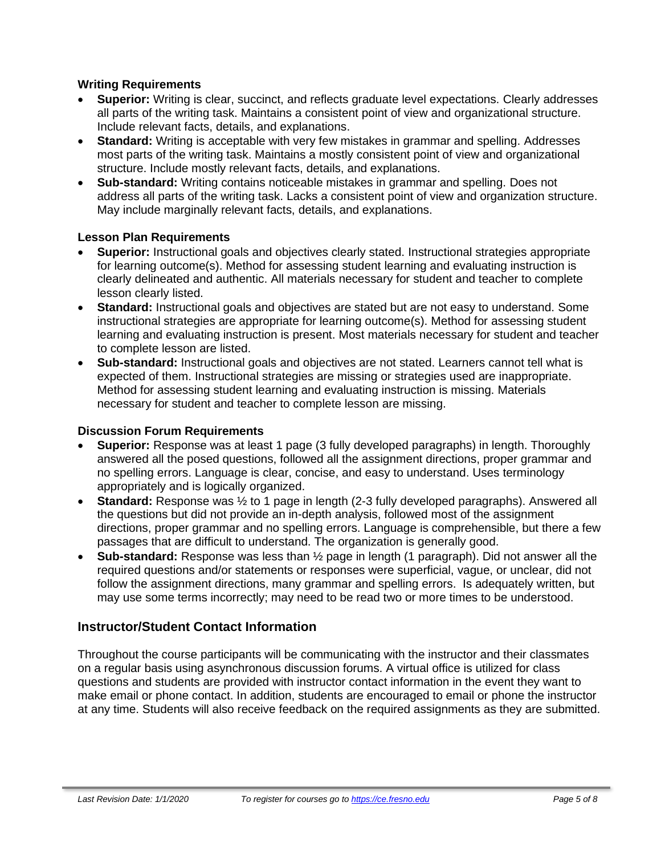#### **Writing Requirements**

- **Superior:** Writing is clear, succinct, and reflects graduate level expectations. Clearly addresses all parts of the writing task. Maintains a consistent point of view and organizational structure. Include relevant facts, details, and explanations.
- **Standard:** Writing is acceptable with very few mistakes in grammar and spelling. Addresses most parts of the writing task. Maintains a mostly consistent point of view and organizational structure. Include mostly relevant facts, details, and explanations.
- **Sub-standard:** Writing contains noticeable mistakes in grammar and spelling. Does not address all parts of the writing task. Lacks a consistent point of view and organization structure. May include marginally relevant facts, details, and explanations.

#### **Lesson Plan Requirements**

- **Superior:** Instructional goals and objectives clearly stated. Instructional strategies appropriate for learning outcome(s). Method for assessing student learning and evaluating instruction is clearly delineated and authentic. All materials necessary for student and teacher to complete lesson clearly listed.
- **Standard:** Instructional goals and objectives are stated but are not easy to understand. Some instructional strategies are appropriate for learning outcome(s). Method for assessing student learning and evaluating instruction is present. Most materials necessary for student and teacher to complete lesson are listed.
- **Sub-standard:** Instructional goals and objectives are not stated. Learners cannot tell what is expected of them. Instructional strategies are missing or strategies used are inappropriate. Method for assessing student learning and evaluating instruction is missing. Materials necessary for student and teacher to complete lesson are missing.

#### **Discussion Forum Requirements**

- **Superior:** Response was at least 1 page (3 fully developed paragraphs) in length. Thoroughly answered all the posed questions, followed all the assignment directions, proper grammar and no spelling errors. Language is clear, concise, and easy to understand. Uses terminology appropriately and is logically organized.
- **Standard:** Response was ½ to 1 page in length (2-3 fully developed paragraphs). Answered all the questions but did not provide an in-depth analysis, followed most of the assignment directions, proper grammar and no spelling errors. Language is comprehensible, but there a few passages that are difficult to understand. The organization is generally good.
- **Sub-standard:** Response was less than ½ page in length (1 paragraph). Did not answer all the required questions and/or statements or responses were superficial, vague, or unclear, did not follow the assignment directions, many grammar and spelling errors. Is adequately written, but may use some terms incorrectly; may need to be read two or more times to be understood.

## **Instructor/Student Contact Information**

Throughout the course participants will be communicating with the instructor and their classmates on a regular basis using asynchronous discussion forums. A virtual office is utilized for class questions and students are provided with instructor contact information in the event they want to make email or phone contact. In addition, students are encouraged to email or phone the instructor at any time. Students will also receive feedback on the required assignments as they are submitted.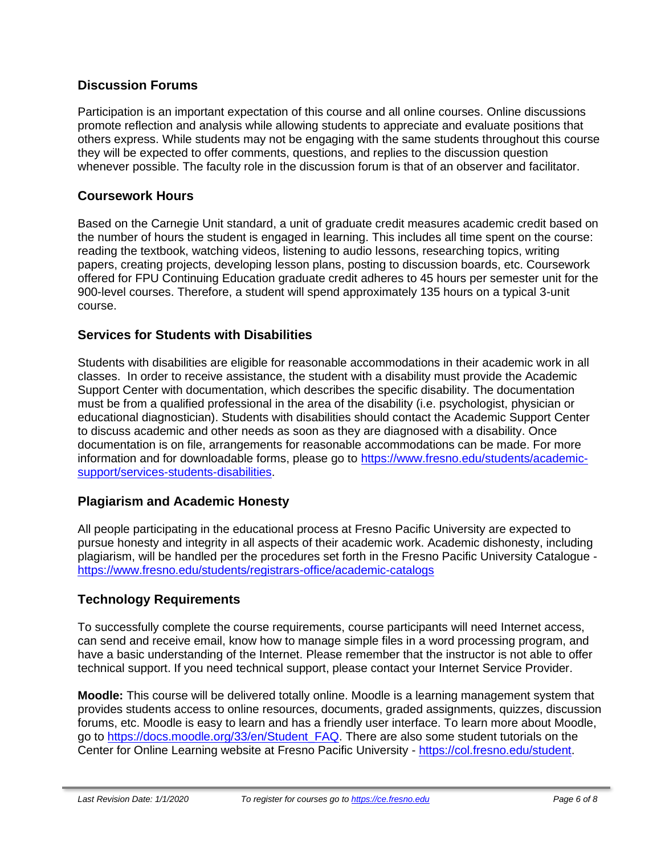## **Discussion Forums**

Participation is an important expectation of this course and all online courses. Online discussions promote reflection and analysis while allowing students to appreciate and evaluate positions that others express. While students may not be engaging with the same students throughout this course they will be expected to offer comments, questions, and replies to the discussion question whenever possible. The faculty role in the discussion forum is that of an observer and facilitator.

## **Coursework Hours**

Based on the Carnegie Unit standard, a unit of graduate credit measures academic credit based on the number of hours the student is engaged in learning. This includes all time spent on the course: reading the textbook, watching videos, listening to audio lessons, researching topics, writing papers, creating projects, developing lesson plans, posting to discussion boards, etc. Coursework offered for FPU Continuing Education graduate credit adheres to 45 hours per semester unit for the 900-level courses. Therefore, a student will spend approximately 135 hours on a typical 3-unit course.

## **Services for Students with Disabilities**

Students with disabilities are eligible for reasonable accommodations in their academic work in all classes. In order to receive assistance, the student with a disability must provide the Academic Support Center with documentation, which describes the specific disability. The documentation must be from a qualified professional in the area of the disability (i.e. psychologist, physician or educational diagnostician). Students with disabilities should contact the Academic Support Center to discuss academic and other needs as soon as they are diagnosed with a disability. Once documentation is on file, arrangements for reasonable accommodations can be made. For more information and for downloadable forms, please go to [https://www.fresno.edu/students/academic](https://www.fresno.edu/students/academic-support/services-students-disabilities)[support/services-students-disabilities.](https://www.fresno.edu/students/academic-support/services-students-disabilities)

# **Plagiarism and Academic Honesty**

All people participating in the educational process at Fresno Pacific University are expected to pursue honesty and integrity in all aspects of their academic work. Academic dishonesty, including plagiarism, will be handled per the procedures set forth in the Fresno Pacific University Catalogue <https://www.fresno.edu/students/registrars-office/academic-catalogs>

# **Technology Requirements**

To successfully complete the course requirements, course participants will need Internet access, can send and receive email, know how to manage simple files in a word processing program, and have a basic understanding of the Internet. Please remember that the instructor is not able to offer technical support. If you need technical support, please contact your Internet Service Provider.

**Moodle:** This course will be delivered totally online. Moodle is a learning management system that provides students access to online resources, documents, graded assignments, quizzes, discussion forums, etc. Moodle is easy to learn and has a friendly user interface. To learn more about Moodle, go to [https://docs.moodle.org/33/en/Student\\_FAQ.](https://docs.moodle.org/33/en/Student_FAQ) There are also some student tutorials on the Center for Online Learning website at Fresno Pacific University - [https://col.fresno.edu/student.](https://col.fresno.edu/student)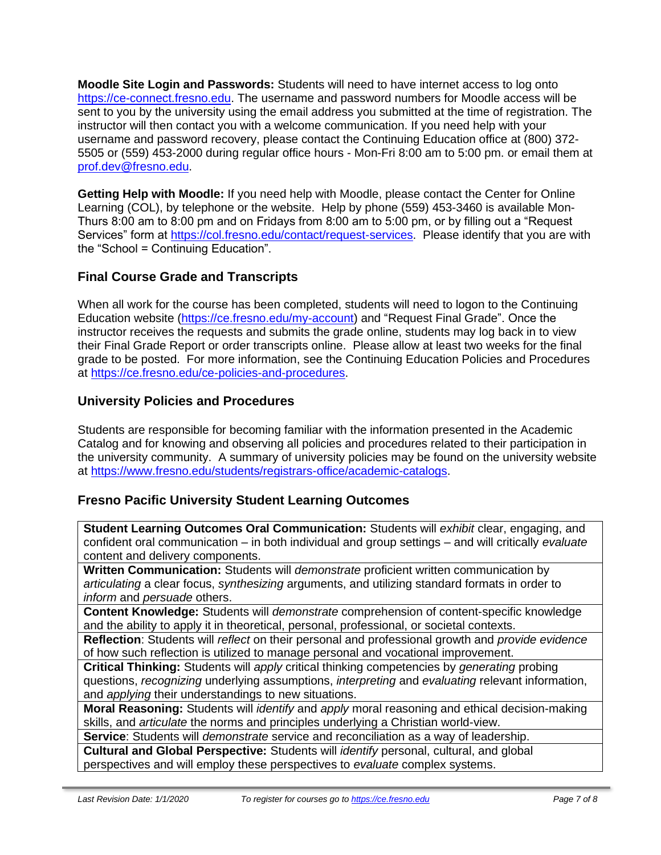**Moodle Site Login and Passwords:** Students will need to have internet access to log onto [https://ce-connect.fresno.edu.](https://ce-connect.fresno.edu/) The username and password numbers for Moodle access will be sent to you by the university using the email address you submitted at the time of registration. The instructor will then contact you with a welcome communication. If you need help with your username and password recovery, please contact the Continuing Education office at (800) 372- 5505 or (559) 453-2000 during regular office hours - Mon-Fri 8:00 am to 5:00 pm. or email them at [prof.dev@fresno.edu.](mailto:prof.dev@fresno.edu)

**Getting Help with Moodle:** If you need help with Moodle, please contact the Center for Online Learning (COL), by telephone or the website. Help by phone (559) 453-3460 is available Mon-Thurs 8:00 am to 8:00 pm and on Fridays from 8:00 am to 5:00 pm, or by filling out a "Request Services" form at [https://col.fresno.edu/contact/request-services.](https://col.fresno.edu/contact/request-services) Please identify that you are with the "School = Continuing Education".

# **Final Course Grade and Transcripts**

When all work for the course has been completed, students will need to logon to the Continuing Education website [\(https://ce.fresno.edu/my-account\)](https://ce.fresno.edu/my-account) and "Request Final Grade". Once the instructor receives the requests and submits the grade online, students may log back in to view their Final Grade Report or order transcripts online. Please allow at least two weeks for the final grade to be posted. For more information, see the Continuing Education Policies and Procedures at [https://ce.fresno.edu/ce-policies-and-procedures.](https://ce.fresno.edu/ce-policies-and-procedures)

## **University Policies and Procedures**

Students are responsible for becoming familiar with the information presented in the Academic Catalog and for knowing and observing all policies and procedures related to their participation in the university community. A summary of university policies may be found on the university website at [https://www.fresno.edu/students/registrars-office/academic-catalogs.](https://www.fresno.edu/students/registrars-office/academic-catalogs)

## **Fresno Pacific University Student Learning Outcomes**

**Student Learning Outcomes Oral Communication:** Students will *exhibit* clear, engaging, and confident oral communication – in both individual and group settings – and will critically *evaluate*  content and delivery components.

**Written Communication:** Students will *demonstrate* proficient written communication by *articulating* a clear focus, *synthesizing* arguments, and utilizing standard formats in order to *inform* and *persuade* others.

**Content Knowledge:** Students will *demonstrate* comprehension of content-specific knowledge and the ability to apply it in theoretical, personal, professional, or societal contexts.

**Reflection**: Students will *reflect* on their personal and professional growth and *provide evidence*  of how such reflection is utilized to manage personal and vocational improvement.

**Critical Thinking:** Students will *apply* critical thinking competencies by *generating* probing questions, *recognizing* underlying assumptions, *interpreting* and *evaluating* relevant information, and *applying* their understandings to new situations.

**Moral Reasoning:** Students will *identify* and *apply* moral reasoning and ethical decision-making skills, and *articulate* the norms and principles underlying a Christian world-view.

**Service**: Students will *demonstrate* service and reconciliation as a way of leadership.

**Cultural and Global Perspective:** Students will *identify* personal, cultural, and global perspectives and will employ these perspectives to *evaluate* complex systems.